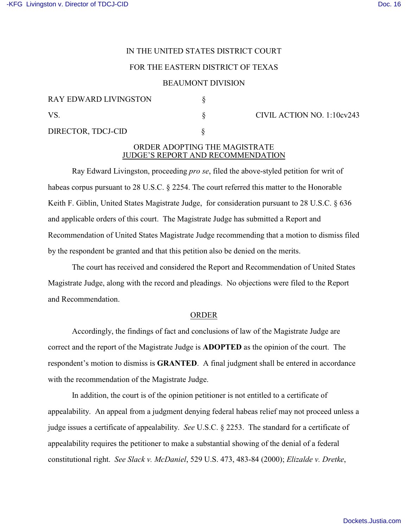# IN THE UNITED STATES DISTRICT COURT

## FOR THE EASTERN DISTRICT OF TEXAS

#### BEAUMONT DIVISION

| <b>RAY EDWARD LIVINGSTON</b><br>VS. |  |
|-------------------------------------|--|
|                                     |  |
| DIRECTOR, TDCJ-CID                  |  |

#### $\S$  CIVIL ACTION NO. 1:10cv243

## ORDER ADOPTING THE MAGISTRATE JUDGE'S REPORT AND RECOMMENDATION

Ray Edward Livingston, proceeding *pro se*, filed the above-styled petition for writ of habeas corpus pursuant to 28 U.S.C. § 2254. The court referred this matter to the Honorable Keith F. Giblin, United States Magistrate Judge, for consideration pursuant to 28 U.S.C. § 636 and applicable orders of this court. The Magistrate Judge has submitted a Report and Recommendation of United States Magistrate Judge recommending that a motion to dismiss filed by the respondent be granted and that this petition also be denied on the merits.

The court has received and considered the Report and Recommendation of United States Magistrate Judge, along with the record and pleadings. No objections were filed to the Report and Recommendation.

## ORDER

Accordingly, the findings of fact and conclusions of law of the Magistrate Judge are correct and the report of the Magistrate Judge is **ADOPTED** as the opinion of the court. The respondent's motion to dismiss is **GRANTED**. A final judgment shall be entered in accordance with the recommendation of the Magistrate Judge.

In addition, the court is of the opinion petitioner is not entitled to a certificate of appealability. An appeal from a judgment denying federal habeas relief may not proceed unless a judge issues a certificate of appealability. *See* U.S.C. § 2253. The standard for a certificate of appealability requires the petitioner to make a substantial showing of the denial of a federal constitutional right. *See Slack v. McDaniel*, 529 U.S. 473, 483-84 (2000); *Elizalde v. Dretke*,